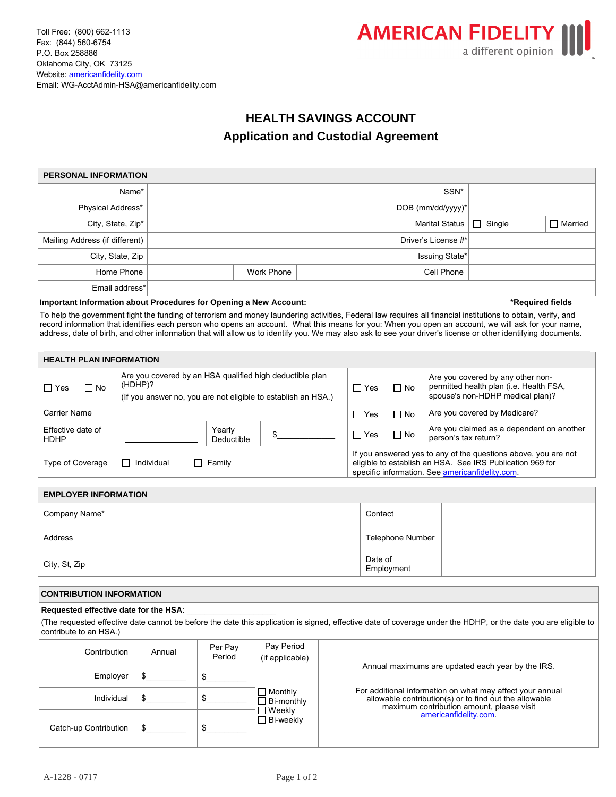



# **HEALTH SAVINGS ACCOUNT Application and Custodial Agreement**

| <b>PERSONAL INFORMATION</b>    |  |            |  |                              |  |                |  |  |
|--------------------------------|--|------------|--|------------------------------|--|----------------|--|--|
| Name*                          |  |            |  | SSN*                         |  |                |  |  |
| Physical Address*              |  |            |  | DOB (mm/dd/yyyy)*            |  |                |  |  |
| City, State, Zip*              |  |            |  | Marital Status $\Box$ Single |  | $\Box$ Married |  |  |
| Mailing Address (if different) |  |            |  | Driver's License #*          |  |                |  |  |
| City, State, Zip               |  |            |  | Issuing State*               |  |                |  |  |
| Home Phone                     |  | Work Phone |  | Cell Phone                   |  |                |  |  |
| Email address*                 |  |            |  |                              |  |                |  |  |

# **Important Information about Procedures for Opening a New Account: \*Required fields**

To help the government fight the funding of terrorism and money laundering activities, Federal law requires all financial institutions to obtain, verify, and record information that identifies each person who opens an account. What this means for you: When you open an account, we will ask for your name, address, date of birth, and other information that will allow us to identify you. We may also ask to see your driver's license or other identifying documents.

| <b>HEALTH PLAN INFORMATION</b>                           |                                                                                                                                      |            |                                                                                                                                                                                |                                                                                                                  |  |  |
|----------------------------------------------------------|--------------------------------------------------------------------------------------------------------------------------------------|------------|--------------------------------------------------------------------------------------------------------------------------------------------------------------------------------|------------------------------------------------------------------------------------------------------------------|--|--|
| $\Box$ Yes<br>$\Box$ No                                  | Are you covered by an HSA qualified high deductible plan<br>(HDHP)?<br>(If you answer no, you are not eligible to establish an HSA.) | $\Box$ Yes | $\Box$ No                                                                                                                                                                      | Are you covered by any other non-<br>permitted health plan (i.e. Health FSA,<br>spouse's non-HDHP medical plan)? |  |  |
| Carrier Name                                             |                                                                                                                                      | $\Box$ Yes | $\Box$ No                                                                                                                                                                      | Are you covered by Medicare?                                                                                     |  |  |
| Effective date of<br><b>HDHP</b>                         | Yearly<br>Deductible                                                                                                                 | $\Box$ Yes | $\Box$ No                                                                                                                                                                      | Are you claimed as a dependent on another<br>person's tax return?                                                |  |  |
| Family<br>Individual<br>Type of Coverage<br>$\mathsf{L}$ |                                                                                                                                      |            | If you answered yes to any of the questions above, you are not<br>eligible to establish an HSA. See IRS Publication 969 for<br>specific information. See americanfidelity.com. |                                                                                                                  |  |  |

| <b>EMPLOYER INFORMATION</b> |                       |  |  |  |  |
|-----------------------------|-----------------------|--|--|--|--|
| Company Name*               | Contact               |  |  |  |  |
| Address                     | Telephone Number      |  |  |  |  |
| City, St, Zip               | Date of<br>Employment |  |  |  |  |

# **CONTRIBUTION INFORMATION**

# Requested effective date for the HSA:

(The requested effective date cannot be before the date this application is signed, effective date of coverage under the HDHP, or the date you are eligible to contribute to an HSA.)

| Contribution          | Annual | Per Pay<br>Period | Pay Period<br>(if applicable) |                                                                                                                                                                  |
|-----------------------|--------|-------------------|-------------------------------|------------------------------------------------------------------------------------------------------------------------------------------------------------------|
| Employer              |        |                   |                               | Annual maximums are updated each year by the IRS.                                                                                                                |
| Individual            |        |                   | Monthly<br>Bi-monthly         | For additional information on what may affect your annual<br>allowable contribution(s) or to find out the allowable<br>maximum contribution amount, please visit |
| Catch-up Contribution |        |                   | Weekly<br>$\Box$ Bi-weekly    | americanfidelity.com                                                                                                                                             |